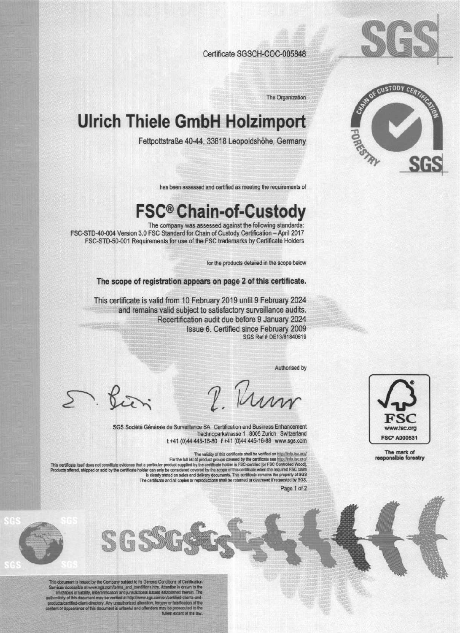Certificate SGSCH-COC-005848





The Organization

## **Ulrich Thiele GmbH Holzimport**

Fettpottstraße 40-44, 33818 Leopoldshöhe, Germany

has been assessed and certified as meeting the requirements of

## **FSC® Chain-of-Custody**

The company was assessed against the following standards: FSC-STD-40-004 Version 3.0 FSC Standard for Chain of Custody Certification - April 2017 FSC-STD-50-001 Requirements for use of the FSC trademarks by Certificate Holders

for the products detailed in the scope below

The scope of registration appears on page 2 of this certificate.

This certificate is valid from 10 February 2019 until 9 February 2024 and remains valid subject to satisfactory surveillance audits. Recertification audit due before 9 January 2024 Issue 6. Certified since February 2009 SGS Ref # DE13/81840619

Authorised by



SGS Société Générale de Surveillance SA Certification and Business Enhancement Technoparkstrasse 1 8005 Zurich Switzerland t +41 (0)44 445-16-80 f +41 (0)44 445-16-88 www.sgs.com

The validity of this certificate shall be verified on http://info.fsc.org/ For the full list of product groups covered by the certificate see http://info.fsc.prof<br>This certificate hold is the certificate hold in the certificate of this cardinal see http://info.fsc.prof<br>Products offered, shipped o

Page 1 of 2

This document is issued by the Company subject to its General Conditions of Certification<br>Services accessible at www.sgs.com/terms\_and\_conditions htm. Attention is drawn to the<br>initiations of lability, indemnification and fullest extent of the law

SGS



The mark of<br>responsible forestry